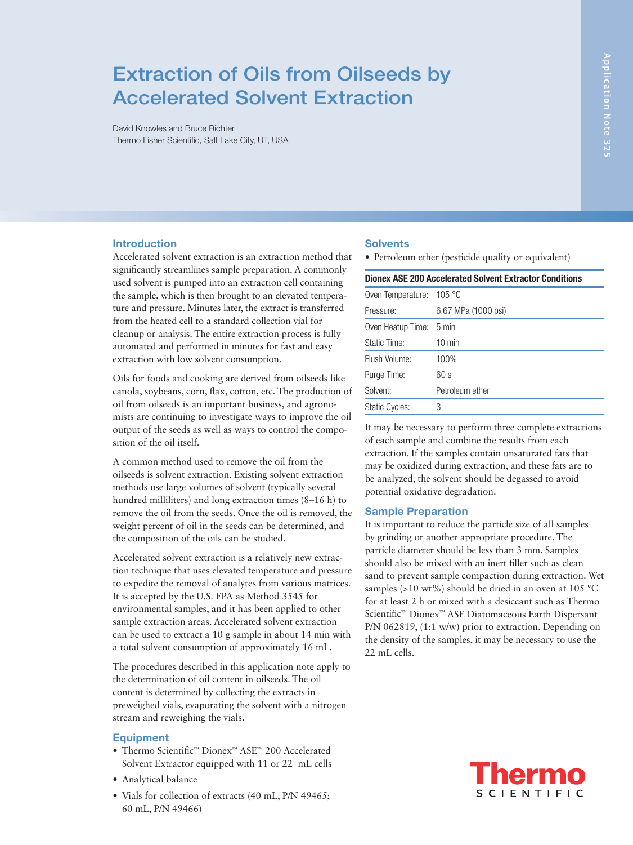# Extraction of Oils from Oilseeds by Accelerated Solvent Extraction

David Knowles and Bruce Richter Thermo Fisher Scientific, Salt Lake City, UT, USA

# Introduction

Accelerated solvent extraction is an extraction method that significantly streamlines sample preparation. A commonly used solvent is pumped into an extraction cell containing the sample, which is then brought to an elevated temperature and pressure. Minutes later, the extract is transferred from the heated cell to a standard collection vial for cleanup or analysis. The entire extraction process is fully automated and performed in minutes for fast and easy extraction with low solvent consumption.

Oils for foods and cooking are derived from oilseeds like canola, soybeans, corn, flax, cotton, etc. The production of oil from oilseeds is an important business, and agronomists are continuing to investigate ways to improve the oil output of the seeds as well as ways to control the composition of the oil itself.

A common method used to remove the oil from the oilseeds is solvent extraction. Existing solvent extraction methods use large volumes of solvent (typically several hundred milliliters) and long extraction times (8–16 h) to remove the oil from the seeds. Once the oil is removed, the weight percent of oil in the seeds can be determined, and the composition of the oils can be studied.

Accelerated solvent extraction is a relatively new extraction technique that uses elevated temperature and pressure to expedite the removal of analytes from various matrices. It is accepted by the U.S. EPA as Method 3545 for environmental samples, and it has been applied to other sample extraction areas. Accelerated solvent extraction can be used to extract a 10 g sample in about 14 min with a total solvent consumption of approximately 16 mL.

The procedures described in this application note apply to the determination of oil content in oilseeds. The oil content is determined by collecting the extracts in preweighed vials, evaporating the solvent with a nitrogen stream and reweighing the vials.

# **Equipment**

- Thermo Scientific™ Dionex™ ASE™ 200 Accelerated Solvent Extractor equipped with 11 or 22 mL cells
- Analytical balance
- Vials for collection of extracts (40 mL, P/N 49465; 60 mL, P/N 49466)

#### **Solvents**

• Petroleum ether (pesticide quality or equivalent)

| <b>Dionex ASE 200 Accelerated Solvent Extractor Conditions</b> |                     |  |  |
|----------------------------------------------------------------|---------------------|--|--|
| Oven Temperature: 105 °C                                       |                     |  |  |
| Pressure:                                                      | 6.67 MPa (1000 psi) |  |  |
| Oven Heatup Time: 5 min                                        |                     |  |  |
| Static Time:                                                   | $10 \text{ min}$    |  |  |
| Flush Volume:                                                  | 100%                |  |  |
| Purge Time:                                                    | 60 s                |  |  |
| Solvent:                                                       | Petroleum ether     |  |  |
| <b>Static Cycles:</b>                                          | 3                   |  |  |

It may be necessary to perform three complete extractions of each sample and combine the results from each extraction. If the samples contain unsaturated fats that may be oxidized during extraction, and these fats are to be analyzed, the solvent should be degassed to avoid potential oxidative degradation.

# Sample Preparation

It is important to reduce the particle size of all samples by grinding or another appropriate procedure. The particle diameter should be less than 3 mm. Samples should also be mixed with an inert filler such as clean sand to prevent sample compaction during extraction. Wet samples ( $>10 \text{ wt\%}$ ) should be dried in an oven at 105 °C for at least 2 h or mixed with a desiccant such as Thermo Scientific™ Dionex™ ASE Diatomaceous Earth Dispersant P/N 062819, (1:1 w/w) prior to extraction. Depending on the density of the samples, it may be necessary to use the 22 mL cells.

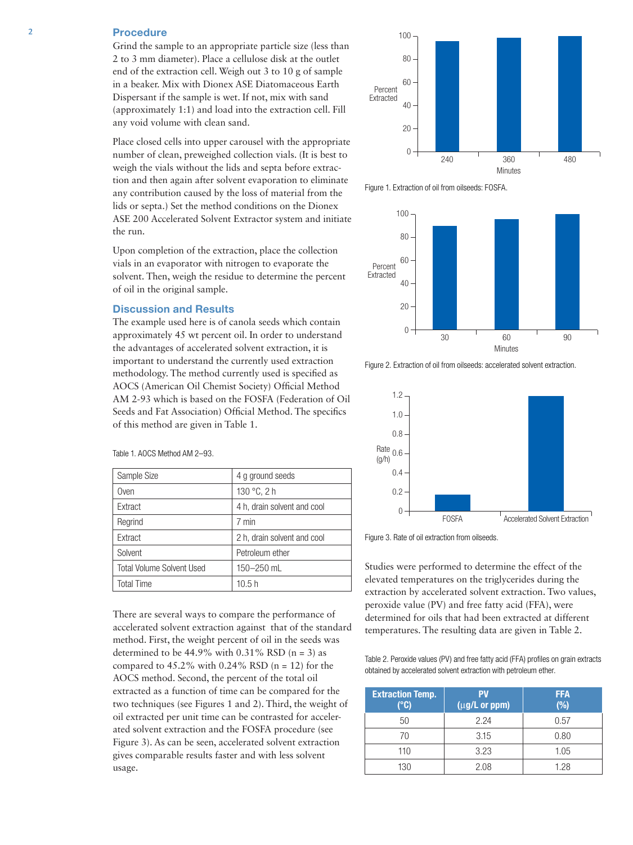# 2 Procedure

Grind the sample to an appropriate particle size (less than 2 to 3 mm diameter). Place a cellulose disk at the outlet end of the extraction cell. Weigh out 3 to 10 g of sample in a beaker. Mix with Dionex ASE Diatomaceous Earth Dispersant if the sample is wet. If not, mix with sand (approximately 1:1) and load into the extraction cell. Fill any void volume with clean sand.

Place closed cells into upper carousel with the appropriate number of clean, preweighed collection vials. (It is best to weigh the vials without the lids and septa before extraction and then again after solvent evaporation to eliminate any contribution caused by the loss of material from the lids or septa.) Set the method conditions on the Dionex ASE 200 Accelerated Solvent Extractor system and initiate the run.

Upon completion of the extraction, place the collection vials in an evaporator with nitrogen to evaporate the solvent. Then, weigh the residue to determine the percent of oil in the original sample.

#### Discussion and Results

The example used here is of canola seeds which contain approximately 45 wt percent oil. In order to understand the advantages of accelerated solvent extraction, it is important to understand the currently used extraction methodology. The method currently used is specified as AOCS (American Oil Chemist Society) Official Method AM 2-93 which is based on the FOSFA (Federation of Oil Seeds and Fat Association) Official Method. The specifics of this method are given in Table 1.

| Sample Size                      | 4 g ground seeds            |  |
|----------------------------------|-----------------------------|--|
| Oven                             | 130 °C, 2 h                 |  |
| Extract                          | 4 h, drain solvent and cool |  |
| Regrind                          | 7 min                       |  |
| Extract                          | 2 h, drain solvent and cool |  |
| Solvent                          | Petroleum ether             |  |
| <b>Total Volume Solvent Used</b> | 150-250 mL                  |  |
| <b>Total Time</b>                | 10.5h                       |  |

Table 1. AOCS Method AM 2–93.

There are several ways to compare the performance of accelerated solvent extraction against that of the standard method. First, the weight percent of oil in the seeds was determined to be  $44.9\%$  with 0.31% RSD (n = 3) as compared to  $45.2\%$  with 0.24% RSD (n = 12) for the AOCS method. Second, the percent of the total oil extracted as a function of time can be compared for the two techniques (see Figures 1 and 2). Third, the weight of oil extracted per unit time can be contrasted for accelerated solvent extraction and the FOSFA procedure (see Figure 3). As can be seen, accelerated solvent extraction gives comparable results faster and with less solvent usage.



Figure 1. Extraction of oil from oilseeds: FOSFA.



Figure 2. Extraction of oil from oilseeds: accelerated solvent extraction.



Figure 3. Rate of oil extraction from oilseeds.

Studies were performed to determine the effect of the elevated temperatures on the triglycerides during the extraction by accelerated solvent extraction. Two values, peroxide value (PV) and free fatty acid (FFA), were determined for oils that had been extracted at different temperatures. The resulting data are given in Table 2.

Table 2. Peroxide values (PV) and free fatty acid (FFA) profiles on grain extracts obtained by accelerated solvent extraction with petroleum ether.

| <b>Extraction Temp.</b><br>(°C) | <b>PV</b><br>(µg/L or ppm) | <b>FFA</b><br>(%) |
|---------------------------------|----------------------------|-------------------|
| 50                              | 2.24                       | 0.57              |
| 70                              | 3.15                       | 0.80              |
| 110                             | 3.23                       | 1.05              |
| 130                             | 2.08                       | 1.28              |